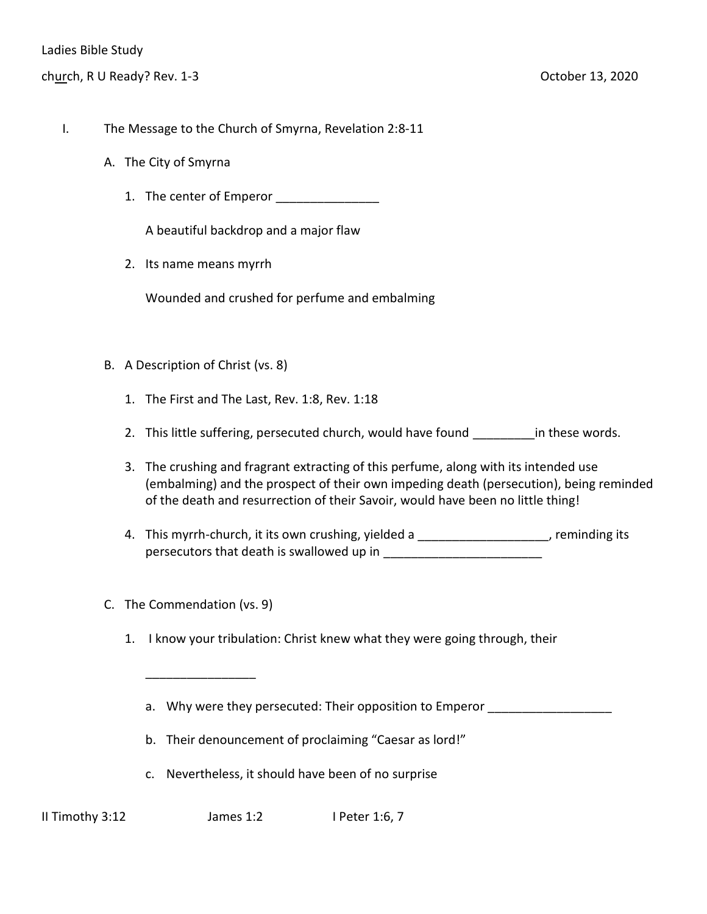- I. The Message to the Church of Smyrna, Revelation 2:8-11
	- A. The City of Smyrna
		- 1. The center of Emperor

A beautiful backdrop and a major flaw

2. Its name means myrrh

Wounded and crushed for perfume and embalming

- B. A Description of Christ (vs. 8)
	- 1. The First and The Last, Rev. 1:8, Rev. 1:18
	- 2. This little suffering, persecuted church, would have found in these words.
	- 3. The crushing and fragrant extracting of this perfume, along with its intended use (embalming) and the prospect of their own impeding death (persecution), being reminded of the death and resurrection of their Savoir, would have been no little thing!
	- 4. This myrrh-church, it its own crushing, yielded a \_\_\_\_\_\_\_\_\_\_\_\_\_\_\_\_\_\_\_\_\_, reminding its persecutors that death is swallowed up in
- C. The Commendation (vs. 9)

\_\_\_\_\_\_\_\_\_\_\_\_\_\_\_\_

- 1. I know your tribulation: Christ knew what they were going through, their
	- a. Why were they persecuted: Their opposition to Emperor
	- b. Their denouncement of proclaiming "Caesar as lord!"
	- c. Nevertheless, it should have been of no surprise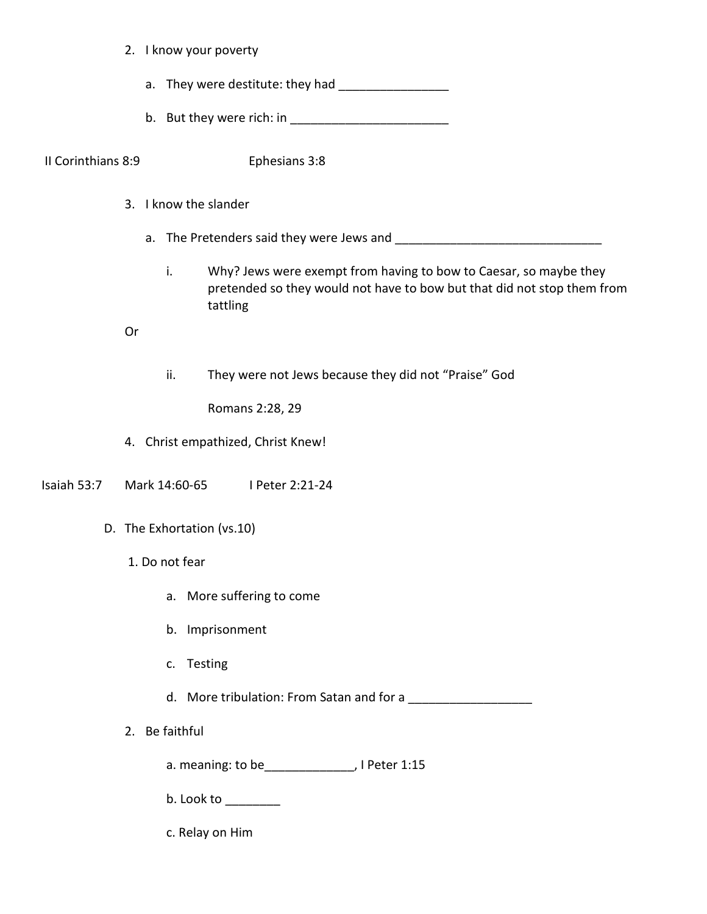- 2. I know your poverty
	- a. They were destitute: they had \_\_\_\_\_\_\_\_\_\_\_\_\_\_\_\_
	- b. But they were rich: in

II Corinthians 8:9 Ephesians 3:8

- 3. I know the slander
	- a. The Pretenders said they were Jews and
		- i. Why? Jews were exempt from having to bow to Caesar, so maybe they pretended so they would not have to bow but that did not stop them from tattling

Or

ii. They were not Jews because they did not "Praise" God

Romans 2:28, 29

- 4. Christ empathized, Christ Knew!
- Isaiah 53:7 Mark 14:60-65 I Peter 2:21-24
	- D. The Exhortation (vs.10)
		- 1. Do not fear
			- a. More suffering to come
			- b. Imprisonment
			- c. Testing
			- d. More tribulation: From Satan and for a \_\_\_\_\_\_\_\_\_\_\_\_\_\_\_\_\_\_
		- 2. Be faithful
			- a. meaning: to be\_\_\_\_\_\_\_\_\_\_\_\_\_, I Peter 1:15
			- $b.$  Look to  $\_\_\_\_\_\_\_\_\_\_\_\_\_$
			- c. Relay on Him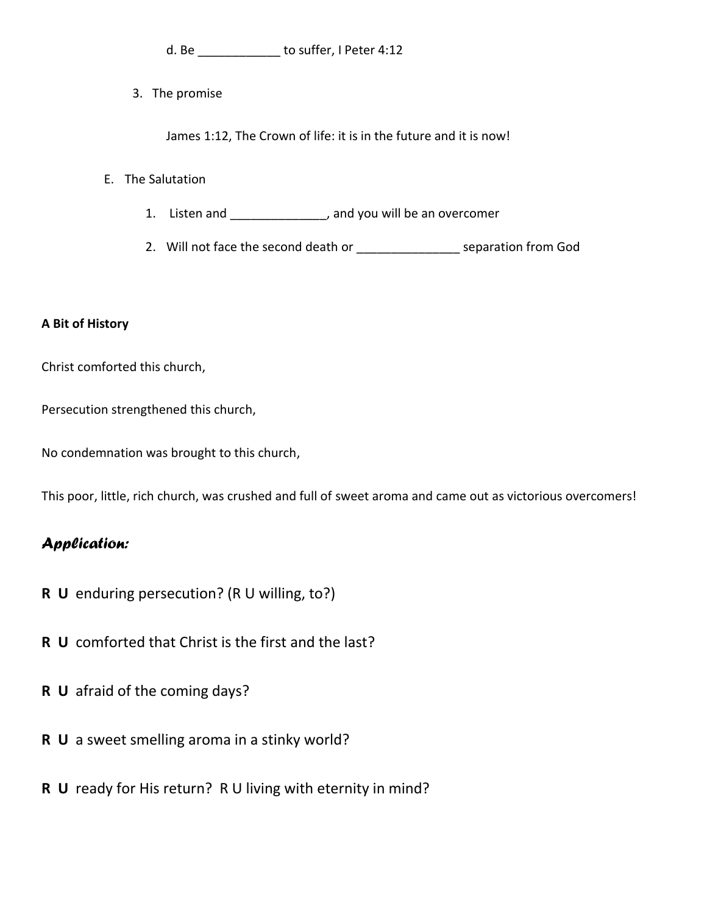d. Be d. b suffer, I Peter 4:12

3. The promise

James 1:12, The Crown of life: it is in the future and it is now!

## E. The Salutation

- 1. Listen and \_\_\_\_\_\_\_\_\_\_\_\_\_\_, and you will be an overcomer
- 2. Will not face the second death or \_\_\_\_\_\_\_\_\_\_\_\_\_\_\_\_\_\_\_ separation from God

## **A Bit of History**

Christ comforted this church,

Persecution strengthened this church,

No condemnation was brought to this church,

This poor, little, rich church, was crushed and full of sweet aroma and came out as victorious overcomers!

## *Application:*

- **R U** enduring persecution? (R U willing, to?)
- **R U** comforted that Christ is the first and the last?
- **R U** afraid of the coming days?
- **R U** a sweet smelling aroma in a stinky world?
- **R U** ready for His return? R U living with eternity in mind?